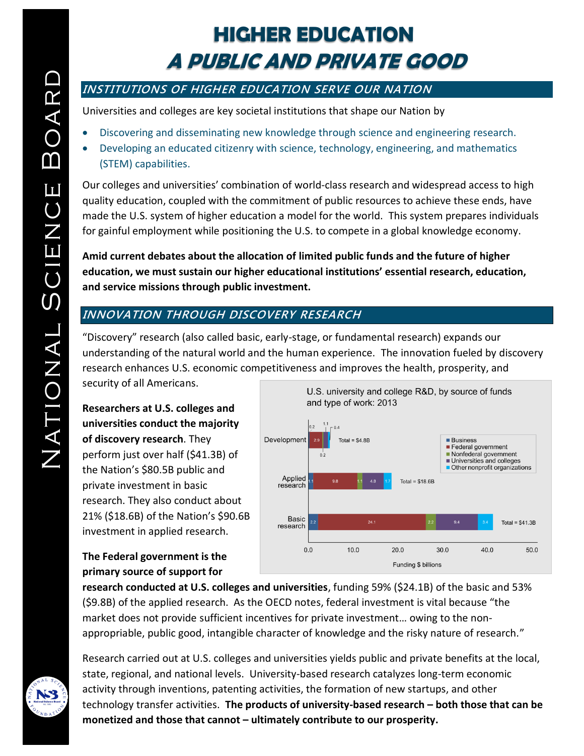# **HIGHER EDUCATION A PUBLIC AND PRIVATE GOOD**

# **INSTITUTIONS OF HIGHER EDUCATION SERVE OUR NATION**

Universities and colleges are key societal institutions that shape our Nation by

- Discovering and disseminating new knowledge through science and engineering research.
- Developing an educated citizenry with science, technology, engineering, and mathematics (STEM) capabilities.

Our colleges and universities' combination of world-class research and widespread access to high quality education, coupled with the commitment of public resources to achieve these ends, have made the U.S. system of higher education a model for the world. This system prepares individuals for gainful employment while positioning the U.S. to compete in a global knowledge economy.

**Amid current debates about the allocation of limited public funds and the future of higher education, we must sustain our higher educational institutions' essential research, education, and service missions through public investment.**

# **INNOVATION THROUGH DISCOVERY RESEARCH**

"Discovery" research (also called basic, early-stage, or fundamental research) expands our understanding of the natural world and the human experience. The innovation fueled by discovery research enhances U.S. economic competitiveness and improves the health, prosperity, and

security of all Americans.

**Researchers at U.S. colleges and universities conduct the majority of discovery research**. They perform just over half (\$41.3B) of the Nation's \$80.5B public and private investment in basic research. They also conduct about 21% (\$18.6B) of the Nation's \$90.6B investment in applied research.



#### **The Federal government is the primary source of support for**

**research conducted at U.S. colleges and universities**, funding 59% (\$24.1B) of the basic and 53% (\$9.8B) of the applied research. As the OECD notes, federal investment is vital because "the market does not provide sufficient incentives for private investment… owing to the nonappropriable, public good, intangible character of knowledge and the risky nature of research."



Research carried out at U.S. colleges and universities yields public and private benefits at the local, state, regional, and national levels. University-based research catalyzes long-term economic activity through inventions, patenting activities, the formation of new startups, and other technology transfer activities. **The products of university-based research – both those that can be monetized and those that cannot – ultimately contribute to our prosperity.**